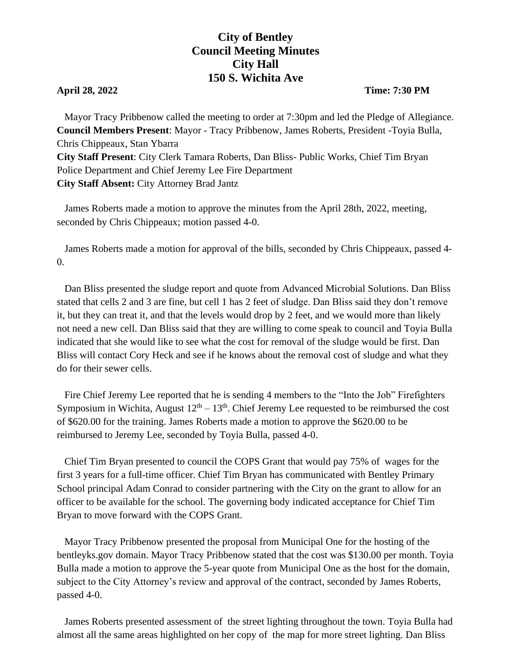## **City of Bentley Council Meeting Minutes City Hall 150 S. Wichita Ave**

## **April 28, 2022 Time: 7:30 PM**

 Mayor Tracy Pribbenow called the meeting to order at 7:30pm and led the Pledge of Allegiance. **Council Members Present**: Mayor - Tracy Pribbenow, James Roberts, President -Toyia Bulla, Chris Chippeaux, Stan Ybarra **City Staff Present**: City Clerk Tamara Roberts, Dan Bliss- Public Works, Chief Tim Bryan Police Department and Chief Jeremy Lee Fire Department **City Staff Absent:** City Attorney Brad Jantz

 James Roberts made a motion to approve the minutes from the April 28th, 2022, meeting, seconded by Chris Chippeaux; motion passed 4-0.

James Roberts made a motion for approval of the bills, seconded by Chris Chippeaux, passed 4- 0.

 Dan Bliss presented the sludge report and quote from Advanced Microbial Solutions. Dan Bliss stated that cells 2 and 3 are fine, but cell 1 has 2 feet of sludge. Dan Bliss said they don't remove it, but they can treat it, and that the levels would drop by 2 feet, and we would more than likely not need a new cell. Dan Bliss said that they are willing to come speak to council and Toyia Bulla indicated that she would like to see what the cost for removal of the sludge would be first. Dan Bliss will contact Cory Heck and see if he knows about the removal cost of sludge and what they do for their sewer cells.

 Fire Chief Jeremy Lee reported that he is sending 4 members to the "Into the Job" Firefighters Symposium in Wichita, August  $12<sup>th</sup> - 13<sup>th</sup>$ . Chief Jeremy Lee requested to be reimbursed the cost of \$620.00 for the training. James Roberts made a motion to approve the \$620.00 to be reimbursed to Jeremy Lee, seconded by Toyia Bulla, passed 4-0.

 Chief Tim Bryan presented to council the COPS Grant that would pay 75% of wages for the first 3 years for a full-time officer. Chief Tim Bryan has communicated with Bentley Primary School principal Adam Conrad to consider partnering with the City on the grant to allow for an officer to be available for the school. The governing body indicated acceptance for Chief Tim Bryan to move forward with the COPS Grant.

 Mayor Tracy Pribbenow presented the proposal from Municipal One for the hosting of the bentleyks.gov domain. Mayor Tracy Pribbenow stated that the cost was \$130.00 per month. Toyia Bulla made a motion to approve the 5-year quote from Municipal One as the host for the domain, subject to the City Attorney's review and approval of the contract, seconded by James Roberts, passed 4-0.

 James Roberts presented assessment of the street lighting throughout the town. Toyia Bulla had almost all the same areas highlighted on her copy of the map for more street lighting. Dan Bliss